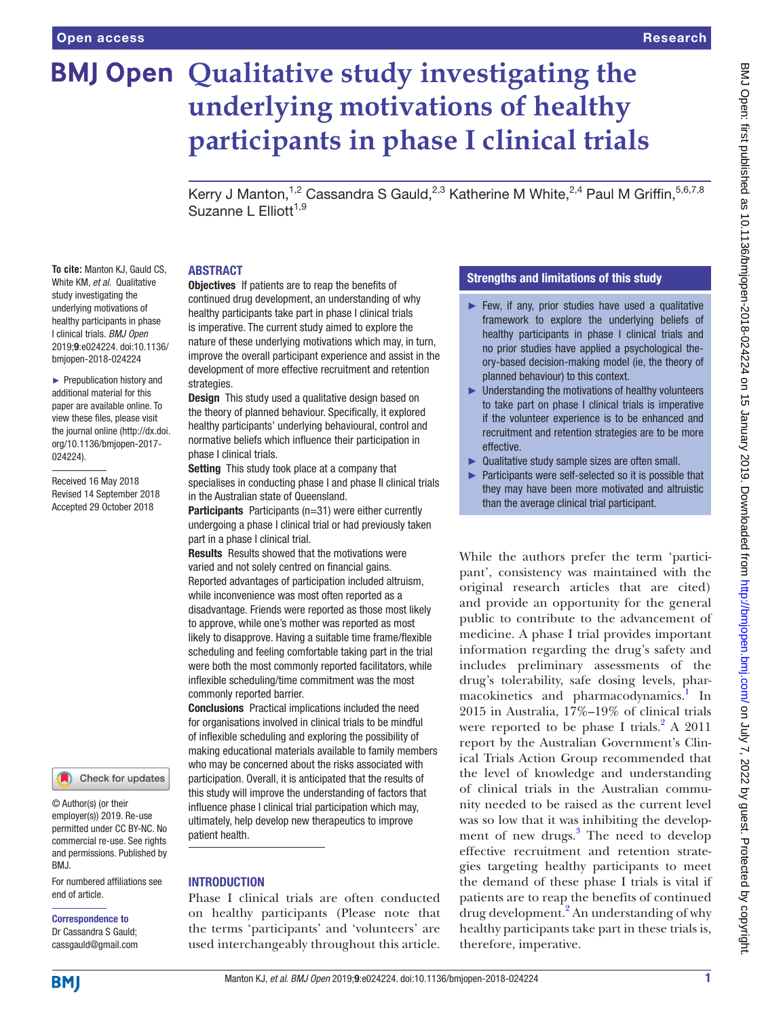# **BMJ Open Qualitative study investigating the underlying motivations of healthy participants in phase I clinical trials**

Kerry J Manton,<sup>1,2</sup> Cassandra S Gauld,<sup>2,3</sup> Katherine M White,<sup>2,4</sup> Paul M Griffin,<sup>5,6,7,8</sup> Suzanne L Elliott<sup>1,9</sup>

## **ABSTRACT**

**To cite:** Manton KJ, Gauld CS, White KM, *et al*. Qualitative study investigating the underlying motivations of healthy participants in phase I clinical trials. *BMJ Open* 2019;9:e024224. doi:10.1136/ bmjopen-2018-024224

► Prepublication history and additional material for this paper are available online. To view these files, please visit the journal online [\(http://dx.doi.](http://dx.doi.org/10.1136/bmjopen-2017-024224) [org/10.1136/bmjopen-2017-](http://dx.doi.org/10.1136/bmjopen-2017-024224) [024224\)](http://dx.doi.org/10.1136/bmjopen-2017-024224).

Received 16 May 2018 Revised 14 September 2018 Accepted 29 October 2018



© Author(s) (or their employer(s)) 2019. Re-use permitted under CC BY-NC. No commercial re-use. See rights and permissions. Published by BMJ.

For numbered affiliations see end of article.

#### Correspondence to Dr Cassandra S Gauld; cassgauld@gmail.com

**Objectives** If patients are to reap the benefits of continued drug development, an understanding of why healthy participants take part in phase I clinical trials is imperative. The current study aimed to explore the nature of these underlying motivations which may, in turn, improve the overall participant experience and assist in the development of more effective recruitment and retention strategies.

**Design** This study used a qualitative design based on the theory of planned behaviour. Specifically, it explored healthy participants' underlying behavioural, control and normative beliefs which influence their participation in phase I clinical trials.

Setting This study took place at a company that specialises in conducting phase I and phase II clinical trials in the Australian state of Queensland.

Participants Participants (n=31) were either currently undergoing a phase I clinical trial or had previously taken part in a phase I clinical trial.

Results Results showed that the motivations were varied and not solely centred on financial gains. Reported advantages of participation included altruism, while inconvenience was most often reported as a disadvantage. Friends were reported as those most likely to approve, while one's mother was reported as most likely to disapprove. Having a suitable time frame/flexible scheduling and feeling comfortable taking part in the trial were both the most commonly reported facilitators, while inflexible scheduling/time commitment was the most commonly reported barrier.

Conclusions Practical implications included the need for organisations involved in clinical trials to be mindful of inflexible scheduling and exploring the possibility of making educational materials available to family members who may be concerned about the risks associated with participation. Overall, it is anticipated that the results of this study will improve the understanding of factors that influence phase I clinical trial participation which may, ultimately, help develop new therapeutics to improve patient health.

# **INTRODUCTION**

Phase I clinical trials are often conducted on healthy participants (Please note that the terms 'participants' and 'volunteers' are used interchangeably throughout this article.

## Strengths and limitations of this study

- ► Few, if any, prior studies have used a qualitative framework to explore the underlying beliefs of healthy participants in phase I clinical trials and no prior studies have applied a psychological theory-based decision-making model (ie, the theory of planned behaviour) to this context.
- ► Understanding the motivations of healthy volunteers to take part on phase I clinical trials is imperative if the volunteer experience is to be enhanced and recruitment and retention strategies are to be more effective.
- ► Qualitative study sample sizes are often small.
- ► Participants were self-selected so it is possible that they may have been more motivated and altruistic than the average clinical trial participant.

While the authors prefer the term 'participant', consistency was maintained with the original research articles that are cited) and provide an opportunity for the general public to contribute to the advancement of medicine. A phase I trial provides important information regarding the drug's safety and includes preliminary assessments of the drug's tolerability, safe dosing levels, phar-macokinetics and pharmacodynamics.<sup>[1](#page-8-0)</sup> In 2015 in Australia, 17%–19% of clinical trials were reported to be phase I trials. $^{2}$  A 2011 report by the Australian Government's Clinical Trials Action Group recommended that the level of knowledge and understanding of clinical trials in the Australian community needed to be raised as the current level was so low that it was inhibiting the development of new drugs.<sup>3</sup> The need to develop effective recruitment and retention strategies targeting healthy participants to meet the demand of these phase I trials is vital if patients are to reap the benefits of continued drug development.<sup>[2](#page-8-1)</sup> An understanding of why healthy participants take part in these trials is, therefore, imperative.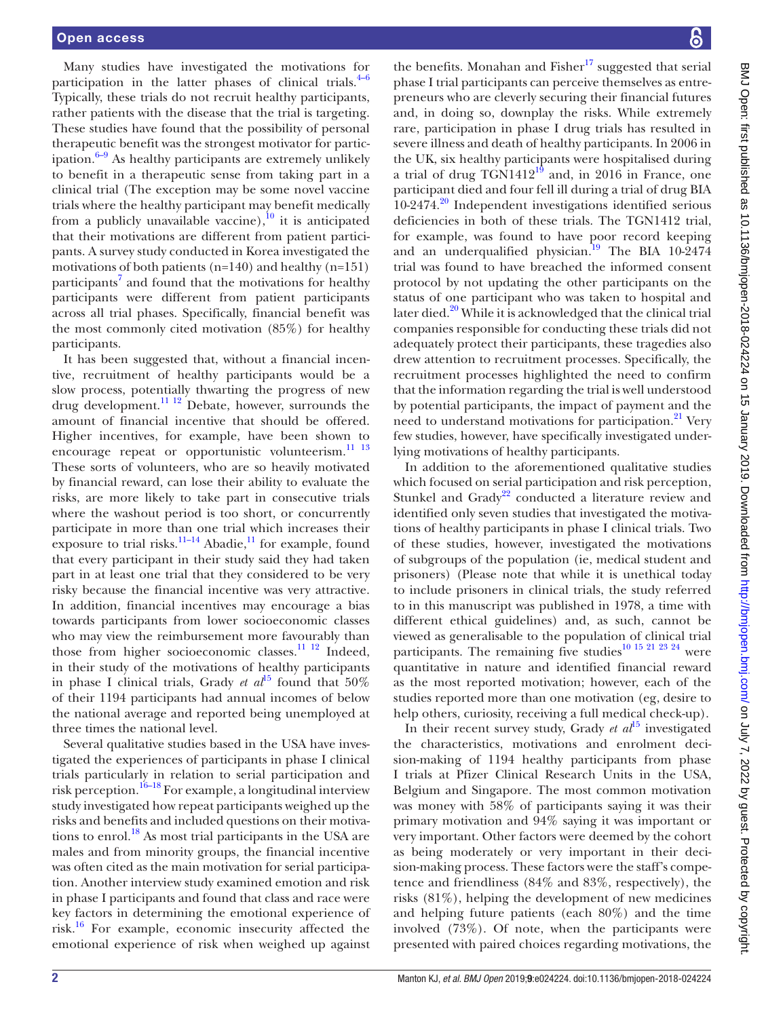Many studies have investigated the motivations for participation in the latter phases of clinical trials. $4-6$ Typically, these trials do not recruit healthy participants, rather patients with the disease that the trial is targeting. These studies have found that the possibility of personal therapeutic benefit was the strongest motivator for participation. $6-9$  As healthy participants are extremely unlikely to benefit in a therapeutic sense from taking part in a clinical trial (The exception may be some novel vaccine trials where the healthy participant may benefit medically from a publicly unavailable vaccine),  $\frac{10}{10}$  it is anticipated that their motivations are different from patient participants. A survey study conducted in Korea investigated the motivations of both patients (n=140) and healthy (n=151) participants<sup>[7](#page-8-6)</sup> and found that the motivations for healthy participants were different from patient participants across all trial phases. Specifically, financial benefit was the most commonly cited motivation (85%) for healthy participants.

It has been suggested that, without a financial incentive, recruitment of healthy participants would be a slow process, potentially thwarting the progress of new drug development.[11 12](#page-8-7) Debate, however, surrounds the amount of financial incentive that should be offered. Higher incentives, for example, have been shown to encourage repeat or opportunistic volunteerism.<sup>11</sup> <sup>13</sup> These sorts of volunteers, who are so heavily motivated by financial reward, can lose their ability to evaluate the risks, are more likely to take part in consecutive trials where the washout period is too short, or concurrently participate in more than one trial which increases their exposure to trial risks.<sup>11–14</sup> Abadie,<sup>11</sup> for example, found that every participant in their study said they had taken part in at least one trial that they considered to be very risky because the financial incentive was very attractive. In addition, financial incentives may encourage a bias towards participants from lower socioeconomic classes who may view the reimbursement more favourably than those from higher socioeconomic classes.<sup>[11 12](#page-8-7)</sup> Indeed, in their study of the motivations of healthy participants in phase I clinical trials, Grady *et al*<sup>15</sup> found that 50% of their 1194 participants had annual incomes of below the national average and reported being unemployed at three times the national level.

Several qualitative studies based in the USA have investigated the experiences of participants in phase I clinical trials particularly in relation to serial participation and risk perception.<sup>16–18</sup> For example, a longitudinal interview study investigated how repeat participants weighed up the risks and benefits and included questions on their motivations to enrol.<sup>18</sup> As most trial participants in the USA are males and from minority groups, the financial incentive was often cited as the main motivation for serial participation. Another interview study examined emotion and risk in phase I participants and found that class and race were key factors in determining the emotional experience of risk.[16](#page-8-9) For example, economic insecurity affected the emotional experience of risk when weighed up against

the benefits. Monahan and Fisher<sup>17</sup> suggested that serial phase I trial participants can perceive themselves as entrepreneurs who are cleverly securing their financial futures and, in doing so, downplay the risks. While extremely rare, participation in phase I drug trials has resulted in severe illness and death of healthy participants. In 2006 in the UK, six healthy participants were hospitalised during a trial of drug  $TGN1412^{19}$  and, in 2016 in France, one participant died and four fell ill during a trial of drug BIA 10-2474.<sup>20</sup> Independent investigations identified serious deficiencies in both of these trials. The TGN1412 trial, for example, was found to have poor record keeping and an underqualified physician.<sup>[19](#page-8-12)</sup> The BIA 10-2474 trial was found to have breached the informed consent protocol by not updating the other participants on the status of one participant who was taken to hospital and later died. $20$  While it is acknowledged that the clinical trial companies responsible for conducting these trials did not adequately protect their participants, these tragedies also drew attention to recruitment processes. Specifically, the recruitment processes highlighted the need to confirm that the information regarding the trial is well understood by potential participants, the impact of payment and the need to understand motivations for participation.<sup>21</sup> Very few studies, however, have specifically investigated underlying motivations of healthy participants.

In addition to the aforementioned qualitative studies which focused on serial participation and risk perception, Stunkel and Grady<sup>[22](#page-8-15)</sup> conducted a literature review and identified only seven studies that investigated the motivations of healthy participants in phase I clinical trials. Two of these studies, however, investigated the motivations of subgroups of the population (ie, medical student and prisoners) (Please note that while it is unethical today to include prisoners in clinical trials, the study referred to in this manuscript was published in 1978, a time with different ethical guidelines) and, as such, cannot be viewed as generalisable to the population of clinical trial participants. The remaining five studies<sup>10 15 21 23 24</sup> were quantitative in nature and identified financial reward as the most reported motivation; however, each of the studies reported more than one motivation (eg, desire to help others, curiosity, receiving a full medical check-up).

In their recent survey study, Grady  $et \t al^{15}$  $et \t al^{15}$  $et \t al^{15}$  investigated the characteristics, motivations and enrolment decision-making of 1194 healthy participants from phase I trials at Pfizer Clinical Research Units in the USA, Belgium and Singapore. The most common motivation was money with 58% of participants saying it was their primary motivation and 94% saying it was important or very important. Other factors were deemed by the cohort as being moderately or very important in their decision-making process. These factors were the staff's competence and friendliness (84% and 83%, respectively), the risks (81%), helping the development of new medicines and helping future patients (each 80%) and the time involved (73%). Of note, when the participants were presented with paired choices regarding motivations, the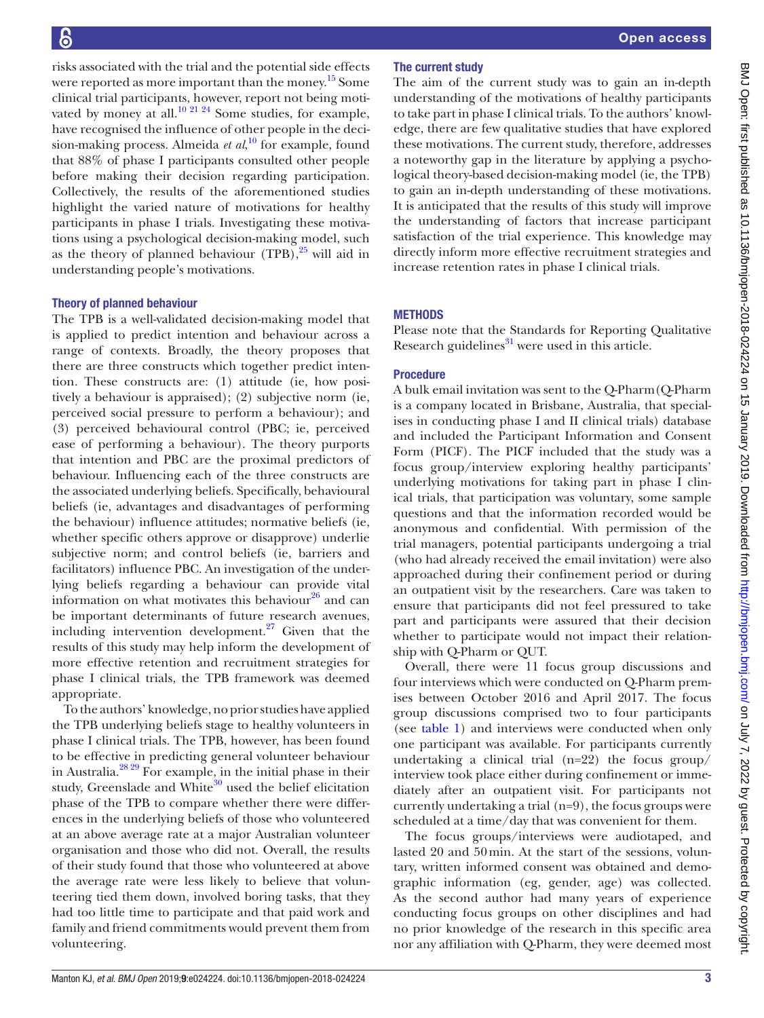risks associated with the trial and the potential side effects were reported as more important than the money.<sup>15</sup> Some clinical trial participants, however, report not being moti-vated by money at all.<sup>[10 21 24](#page-8-5)</sup> Some studies, for example, have recognised the influence of other people in the decision-making process. Almeida *et al*, [10](#page-8-5) for example, found that 88% of phase I participants consulted other people before making their decision regarding participation. Collectively, the results of the aforementioned studies highlight the varied nature of motivations for healthy participants in phase I trials. Investigating these motivations using a psychological decision-making model, such as the theory of planned behaviour  $(TPB)$ ,  $^{25}$  will aid in understanding people's motivations.

## Theory of planned behaviour

The TPB is a well-validated decision-making model that is applied to predict intention and behaviour across a range of contexts. Broadly, the theory proposes that there are three constructs which together predict intention. These constructs are: (1) attitude (ie, how positively a behaviour is appraised); (2) subjective norm (ie, perceived social pressure to perform a behaviour); and (3) perceived behavioural control (PBC; ie, perceived ease of performing a behaviour). The theory purports that intention and PBC are the proximal predictors of behaviour. Influencing each of the three constructs are the associated underlying beliefs. Specifically, behavioural beliefs (ie, advantages and disadvantages of performing the behaviour) influence attitudes; normative beliefs (ie, whether specific others approve or disapprove) underlie subjective norm; and control beliefs (ie, barriers and facilitators) influence PBC. An investigation of the underlying beliefs regarding a behaviour can provide vital information on what motivates this behaviour $^{26}$  and can be important determinants of future research avenues, including intervention development. $27$  Given that the results of this study may help inform the development of more effective retention and recruitment strategies for phase I clinical trials, the TPB framework was deemed appropriate.

To the authors' knowledge, no prior studies have applied the TPB underlying beliefs stage to healthy volunteers in phase I clinical trials. The TPB, however, has been found to be effective in predicting general volunteer behaviour in Australia[.28 29](#page-8-19) For example, in the initial phase in their study, Greenslade and White<sup>[30](#page-8-20)</sup> used the belief elicitation phase of the TPB to compare whether there were differences in the underlying beliefs of those who volunteered at an above average rate at a major Australian volunteer organisation and those who did not. Overall, the results of their study found that those who volunteered at above the average rate were less likely to believe that volunteering tied them down, involved boring tasks, that they had too little time to participate and that paid work and family and friend commitments would prevent them from volunteering.

# The current study

The aim of the current study was to gain an in-depth understanding of the motivations of healthy participants to take part in phase I clinical trials. To the authors' knowledge, there are few qualitative studies that have explored these motivations. The current study, therefore, addresses a noteworthy gap in the literature by applying a psychological theory-based decision-making model (ie, the TPB) to gain an in-depth understanding of these motivations. It is anticipated that the results of this study will improve the understanding of factors that increase participant satisfaction of the trial experience. This knowledge may directly inform more effective recruitment strategies and increase retention rates in phase I clinical trials.

## **METHODS**

Please note that the Standards for Reporting Qualitative Research guidelines $31$  were used in this article.

# Procedure

A bulk email invitation was sent to the Q-Pharm(Q-Pharm is a company located in Brisbane, Australia, that specialises in conducting phase I and II clinical trials) database and included the Participant Information and Consent Form (PICF). The PICF included that the study was a focus group/interview exploring healthy participants' underlying motivations for taking part in phase I clinical trials, that participation was voluntary, some sample questions and that the information recorded would be anonymous and confidential. With permission of the trial managers, potential participants undergoing a trial (who had already received the email invitation) were also approached during their confinement period or during an outpatient visit by the researchers. Care was taken to ensure that participants did not feel pressured to take part and participants were assured that their decision whether to participate would not impact their relationship with Q-Pharm or QUT.

Overall, there were 11 focus group discussions and four interviews which were conducted on Q-Pharm premises between October 2016 and April 2017. The focus group discussions comprised two to four participants (see [table](#page-3-0) 1) and interviews were conducted when only one participant was available. For participants currently undertaking a clinical trial  $(n=22)$  the focus group/ interview took place either during confinement or immediately after an outpatient visit. For participants not currently undertaking a trial (n=9), the focus groups were scheduled at a time/day that was convenient for them.

The focus groups/interviews were audiotaped, and lasted 20 and 50min. At the start of the sessions, voluntary, written informed consent was obtained and demographic information (eg, gender, age) was collected. As the second author had many years of experience conducting focus groups on other disciplines and had no prior knowledge of the research in this specific area nor any affiliation with Q-Pharm, they were deemed most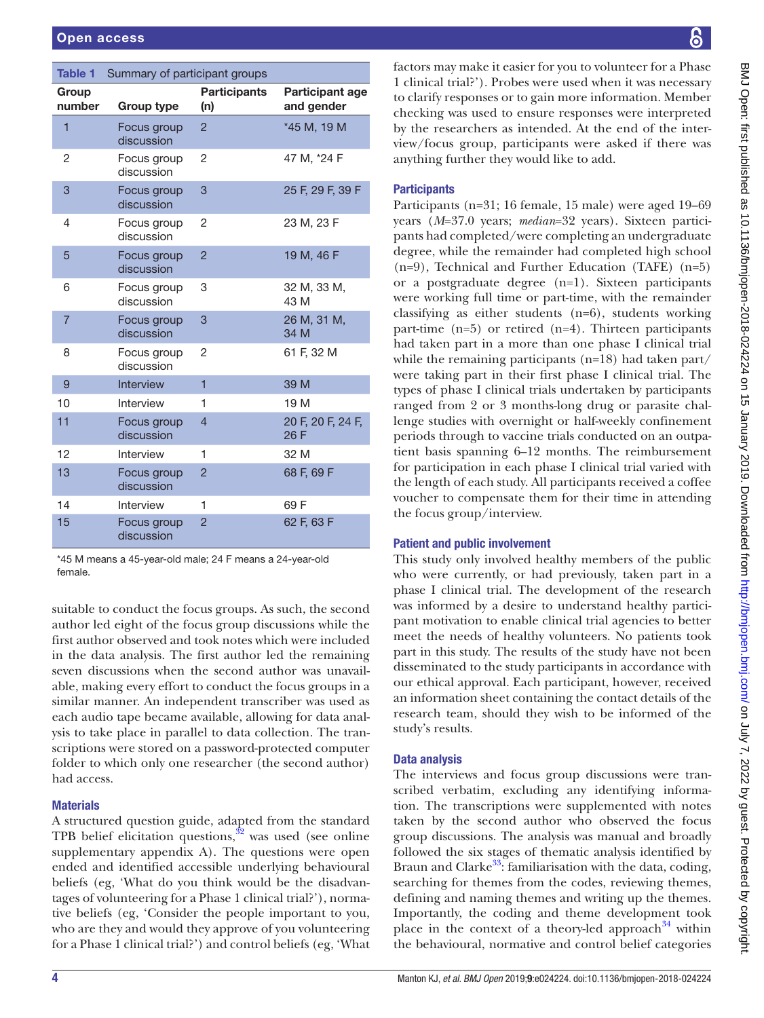<span id="page-3-0"></span>

| Table 1         | Summary of participant groups |                            |                                      |
|-----------------|-------------------------------|----------------------------|--------------------------------------|
| Group<br>number | Group type                    | <b>Participants</b><br>(n) | <b>Participant age</b><br>and gender |
| 1               | Focus group<br>discussion     | $\overline{2}$             | *45 M, 19 M                          |
| 2               | Focus group<br>discussion     | $\overline{2}$             | 47 M, *24 F                          |
| 3               | Focus group<br>discussion     | 3                          | 25 F, 29 F, 39 F                     |
| 4               | Focus group<br>discussion     | 2                          | 23 M, 23 F                           |
| 5               | Focus group<br>discussion     | $\overline{2}$             | 19 M, 46 F                           |
| 6               | Focus group<br>discussion     | 3                          | 32 M, 33 M,<br>43 M                  |
| $\overline{7}$  | Focus group<br>discussion     | 3                          | 26 M, 31 M,<br>34 M                  |
| 8               | Focus group<br>discussion     | 2                          | 61 F, 32 M                           |
| 9               | <b>Interview</b>              | $\overline{1}$             | 39 M                                 |
| 10              | Interview                     | 1                          | 19 M                                 |
| 11              | Focus group<br>discussion     | $\overline{4}$             | 20 F, 20 F, 24 F,<br>26 F            |
| 12              | Interview                     | 1                          | 32 M                                 |
| 13              | Focus group<br>discussion     | $\overline{2}$             | 68 F, 69 F                           |
| 14              | Interview                     | 1                          | 69 F                                 |
| 15              | Focus group<br>discussion     | $\overline{2}$             | 62 F, 63 F                           |

\*45 M means a 45-year-old male; 24 F means a 24-year-old female.

suitable to conduct the focus groups. As such, the second author led eight of the focus group discussions while the first author observed and took notes which were included in the data analysis. The first author led the remaining seven discussions when the second author was unavailable, making every effort to conduct the focus groups in a similar manner. An independent transcriber was used as each audio tape became available, allowing for data analysis to take place in parallel to data collection. The transcriptions were stored on a password-protected computer folder to which only one researcher (the second author) had access.

# **Materials**

A structured question guide, adapted from the standard TPB belief elicitation questions, $32$  was used (see online [supplementary appendix A\)](https://dx.doi.org/10.1136/bmjopen-2018-024224). The questions were open ended and identified accessible underlying behavioural beliefs (eg, 'What do you think would be the disadvantages of volunteering for a Phase 1 clinical trial?'), normative beliefs (eg, 'Consider the people important to you, who are they and would they approve of you volunteering for a Phase 1 clinical trial?') and control beliefs (eg, 'What

factors may make it easier for you to volunteer for a Phase 1 clinical trial?'). Probes were used when it was necessary to clarify responses or to gain more information. Member checking was used to ensure responses were interpreted by the researchers as intended. At the end of the interview/focus group, participants were asked if there was anything further they would like to add.

# **Participants**

Participants (n=31; 16 female, 15 male) were aged 19–69 years (*M*=37.0 years; *median*=32 years). Sixteen participants had completed/were completing an undergraduate degree, while the remainder had completed high school (n=9), Technical and Further Education (TAFE) (n=5) or a postgraduate degree (n=1). Sixteen participants were working full time or part-time, with the remainder classifying as either students (n=6), students working part-time (n=5) or retired (n=4). Thirteen participants had taken part in a more than one phase I clinical trial while the remaining participants (n=18) had taken part/ were taking part in their first phase I clinical trial. The types of phase I clinical trials undertaken by participants ranged from 2 or 3 months-long drug or parasite challenge studies with overnight or half-weekly confinement periods through to vaccine trials conducted on an outpatient basis spanning 6–12 months. The reimbursement for participation in each phase I clinical trial varied with the length of each study. All participants received a coffee voucher to compensate them for their time in attending the focus group/interview.

# Patient and public involvement

This study only involved healthy members of the public who were currently, or had previously, taken part in a phase I clinical trial. The development of the research was informed by a desire to understand healthy participant motivation to enable clinical trial agencies to better meet the needs of healthy volunteers. No patients took part in this study. The results of the study have not been disseminated to the study participants in accordance with our ethical approval. Each participant, however, received an information sheet containing the contact details of the research team, should they wish to be informed of the study's results.

# Data analysis

The interviews and focus group discussions were transcribed verbatim, excluding any identifying information. The transcriptions were supplemented with notes taken by the second author who observed the focus group discussions. The analysis was manual and broadly followed the six stages of thematic analysis identified by Braun and Clarke<sup>33</sup>: familiarisation with the data, coding, searching for themes from the codes, reviewing themes, defining and naming themes and writing up the themes. Importantly, the coding and theme development took place in the context of a theory-led approach $34$  within the behavioural, normative and control belief categories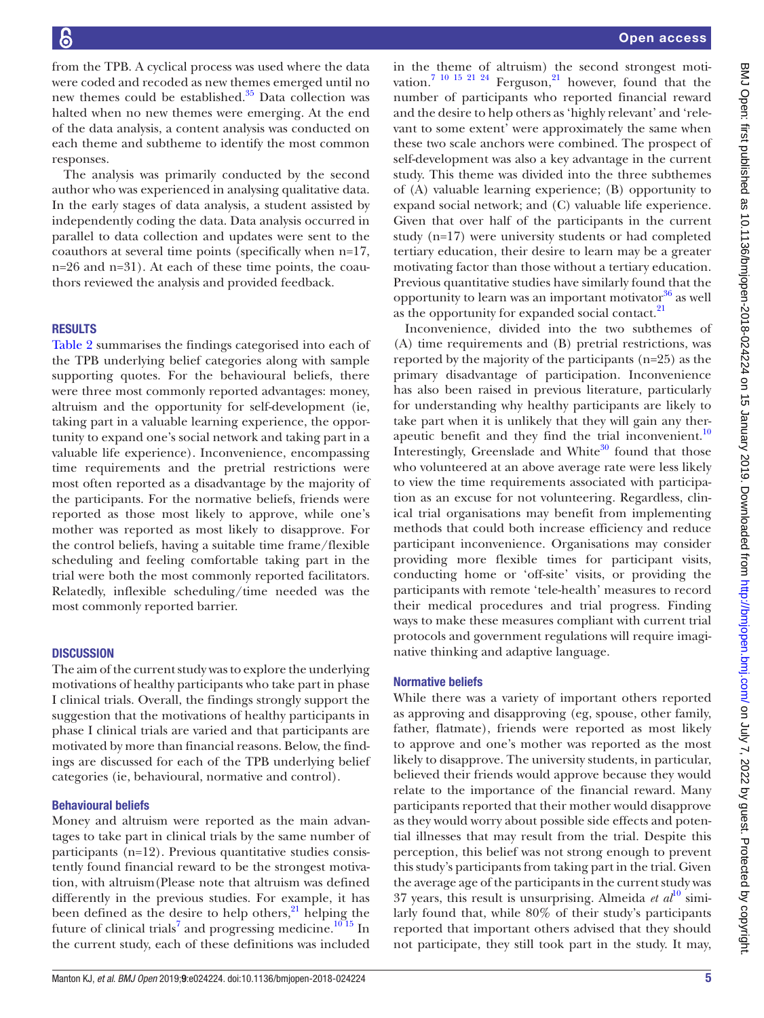from the TPB. A cyclical process was used where the data were coded and recoded as new themes emerged until no new themes could be established. $35$  Data collection was halted when no new themes were emerging. At the end of the data analysis, a content analysis was conducted on each theme and subtheme to identify the most common responses.

The analysis was primarily conducted by the second author who was experienced in analysing qualitative data. In the early stages of data analysis, a student assisted by independently coding the data. Data analysis occurred in parallel to data collection and updates were sent to the coauthors at several time points (specifically when n=17, n=26 and n=31). At each of these time points, the coauthors reviewed the analysis and provided feedback.

## **RESULTS**

[Table](#page-5-0) 2 summarises the findings categorised into each of the TPB underlying belief categories along with sample supporting quotes. For the behavioural beliefs, there were three most commonly reported advantages: money, altruism and the opportunity for self-development (ie, taking part in a valuable learning experience, the opportunity to expand one's social network and taking part in a valuable life experience). Inconvenience, encompassing time requirements and the pretrial restrictions were most often reported as a disadvantage by the majority of the participants. For the normative beliefs, friends were reported as those most likely to approve, while one's mother was reported as most likely to disapprove. For the control beliefs, having a suitable time frame/flexible scheduling and feeling comfortable taking part in the trial were both the most commonly reported facilitators. Relatedly, inflexible scheduling/time needed was the most commonly reported barrier.

### **DISCUSSION**

The aim of the current study was to explore the underlying motivations of healthy participants who take part in phase I clinical trials. Overall, the findings strongly support the suggestion that the motivations of healthy participants in phase I clinical trials are varied and that participants are motivated by more than financial reasons. Below, the findings are discussed for each of the TPB underlying belief categories (ie, behavioural, normative and control).

## Behavioural beliefs

Money and altruism were reported as the main advantages to take part in clinical trials by the same number of participants (n=12). Previous quantitative studies consistently found financial reward to be the strongest motivation, with altruism(Please note that altruism was defined differently in the previous studies. For example, it has been defined as the desire to help others, $^{21}$  helping the future of clinical trials<sup>[7](#page-8-6)</sup> and progressing medicine.<sup>10 15</sup> In the current study, each of these definitions was included

in the theme of altruism) the second strongest motivation.<sup>7</sup> <sup>10</sup> <sup>15</sup> <sup>21</sup> <sup>24</sup> Ferguson,<sup>21</sup> however, found that the number of participants who reported financial reward and the desire to help others as 'highly relevant' and 'relevant to some extent' were approximately the same when these two scale anchors were combined. The prospect of self-development was also a key advantage in the current study. This theme was divided into the three subthemes of (A) valuable learning experience; (B) opportunity to expand social network; and (C) valuable life experience. Given that over half of the participants in the current study (n=17) were university students or had completed tertiary education, their desire to learn may be a greater motivating factor than those without a tertiary education. Previous quantitative studies have similarly found that the opportunity to learn was an important motivator $36$  as well as the opportunity for expanded social contact.<sup>21</sup>

Inconvenience, divided into the two subthemes of (A) time requirements and (B) pretrial restrictions, was reported by the majority of the participants (n=25) as the primary disadvantage of participation. Inconvenience has also been raised in previous literature, particularly for understanding why healthy participants are likely to take part when it is unlikely that they will gain any therapeutic benefit and they find the trial inconvenient. $10$ Interestingly, Greenslade and White $30$  found that those who volunteered at an above average rate were less likely to view the time requirements associated with participation as an excuse for not volunteering. Regardless, clinical trial organisations may benefit from implementing methods that could both increase efficiency and reduce participant inconvenience. Organisations may consider providing more flexible times for participant visits, conducting home or 'off-site' visits, or providing the participants with remote 'tele-health' measures to record their medical procedures and trial progress. Finding ways to make these measures compliant with current trial protocols and government regulations will require imaginative thinking and adaptive language.

#### Normative beliefs

While there was a variety of important others reported as approving and disapproving (eg, spouse, other family, father, flatmate), friends were reported as most likely to approve and one's mother was reported as the most likely to disapprove. The university students, in particular, believed their friends would approve because they would relate to the importance of the financial reward. Many participants reported that their mother would disapprove as they would worry about possible side effects and potential illnesses that may result from the trial. Despite this perception, this belief was not strong enough to prevent this study's participants from taking part in the trial. Given the average age of the participants in the current study was  $37$  years, this result is unsurprising. Almeida *et al*<sup>[10](#page-8-5)</sup> similarly found that, while 80% of their study's participants reported that important others advised that they should not participate, they still took part in the study. It may,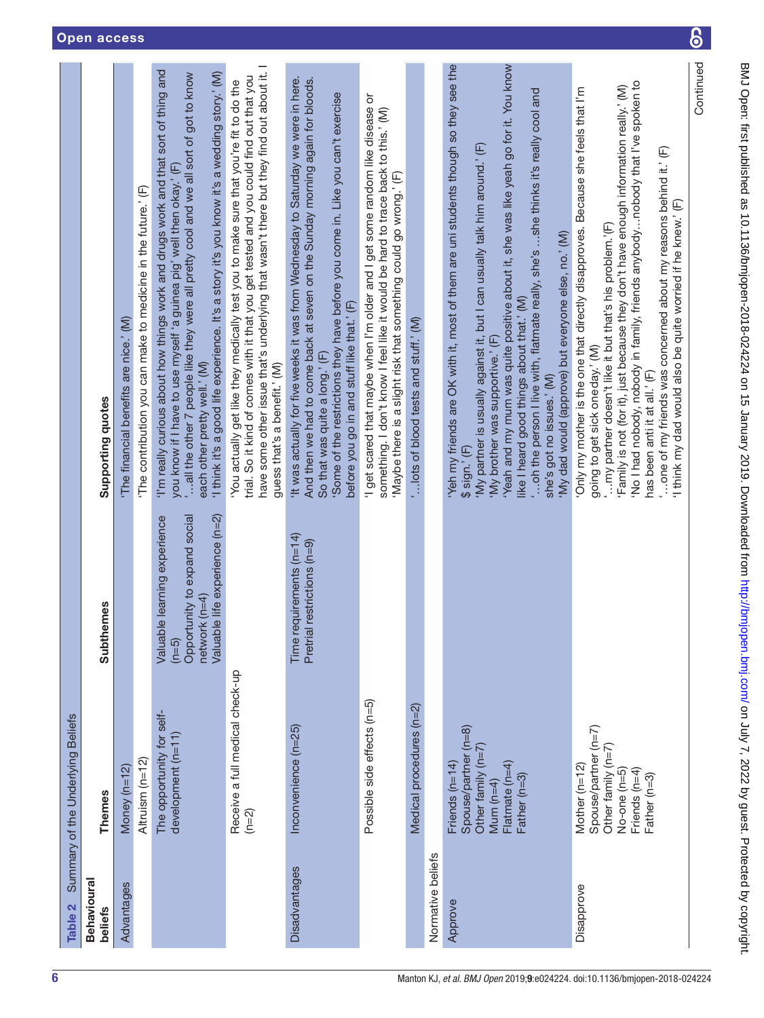<span id="page-5-0"></span>

| Table 2                       | Summary of the Underlying Beliefs                                                                                    |                                                                                                                            |                                                                                                                                                                                                                                                                                                                                                                                                                                                                                                                                   |
|-------------------------------|----------------------------------------------------------------------------------------------------------------------|----------------------------------------------------------------------------------------------------------------------------|-----------------------------------------------------------------------------------------------------------------------------------------------------------------------------------------------------------------------------------------------------------------------------------------------------------------------------------------------------------------------------------------------------------------------------------------------------------------------------------------------------------------------------------|
| <b>Behavioural</b><br>beliefs | <b>Themes</b>                                                                                                        | <b>Subthemes</b>                                                                                                           | Supporting quotes                                                                                                                                                                                                                                                                                                                                                                                                                                                                                                                 |
| Advantages                    | Money (n=12)                                                                                                         |                                                                                                                            | The financial benefits are nice.' (M)                                                                                                                                                                                                                                                                                                                                                                                                                                                                                             |
|                               | Altruism (n=12)                                                                                                      |                                                                                                                            | The contribution you can make to medicine in the future.' (F)                                                                                                                                                                                                                                                                                                                                                                                                                                                                     |
|                               | The opportunity for self-<br>development (n=11)                                                                      | Opportunity to expand social<br>Valuable life experience (n=2)<br>Valuable learning experience<br>network (n=4)<br>$(n=5)$ | I'm really curious about how things work and drugs work and that sort of thing and<br>I think it's a good life experience. It's a story it's you know it's a wedding story.' (M)<br>"all the other 7 people like they were all pretty cool and we all sort of got to know<br>you know if I have to use myself 'a guinea pig' well then okay.' (F)<br>each other pretty well.' (M)                                                                                                                                                 |
|                               | Receive a full medical check-up<br>$(n=2)$                                                                           |                                                                                                                            | have some other issue that's underlying that wasn't there but they find out about it. I<br>trial. So it kind of comes with it that you get tested and you could find out that you<br>You actually get like they medically test you to make sure that you're fit to do the<br>guess that's a benefit.' (M)                                                                                                                                                                                                                         |
| Disadvantages                 | Inconvenience (n=25)                                                                                                 | Time requirements $(n=14)$<br>Pretrial restrictions (n=9)                                                                  | 'It was actually for five weeks it was from Wednesday to Saturday we were in here.<br>And then we had to come back at seven on the Sunday morning again for bloods.<br>'Some of the restrictions they have before you come in. Like you can't exercise<br>before you go in and stuff like that.' (F)<br>So that was quite a long.' (F)                                                                                                                                                                                            |
|                               | Possible side effects (n=5)                                                                                          |                                                                                                                            | 'I get scared that maybe when I'm older and I get some random like disease or<br>something. I don't know I feel like it would be hard to trace back to this.' (M)<br>Maybe there is a slight risk that something could go wrong.' (F)                                                                                                                                                                                                                                                                                             |
|                               | Medical procedures (n=2)                                                                                             |                                                                                                                            | ' lots of blood tests and stuff.' (M)                                                                                                                                                                                                                                                                                                                                                                                                                                                                                             |
| Normative beliefs             |                                                                                                                      |                                                                                                                            |                                                                                                                                                                                                                                                                                                                                                                                                                                                                                                                                   |
| Approve                       | Spouse/partner (n=8)<br>Other family $(n=7)$<br>Friends (n=14)<br>Flatmate $(n=4)$<br>Father (n=3)<br>Mum $(n=4)$    |                                                                                                                            | Yeah and my mum was quite positive about it, she was like yeah go for it. You know<br>Yeh my friends are OK with it, most of them are uni students though so they see the<br>oh the person I live with, flatmate really, she's she thinks it's really cool and<br>My partner is usually against it, but I can usually talk him around.' (F)<br>'My dad would (approve) but everyone else, no.' (M)<br>like I heard good things about that.' (M)<br>'My brother was supportive.' (F)<br>she's got no issues.' (M)<br>$$sign.'$ (F) |
| Disapprove                    | Spouse/partner (n=7)<br>Other family ( $n=7$ )<br>Mother (n=12)<br>No-one (n=5)<br>Friends ( $n=4$ )<br>Father (n=3) |                                                                                                                            | 'No I had nobody, nobody in family, friends anybody  nobody that I've spoken to<br>Family is not (for it), just because they don't have enough information really.' (M)<br>'Only my mother is the one that directly disapproves. Because she feels that I'm<br>one of my friends was concerned about my reasons behind it.' (F)<br>'I think my dad would also be quite worried if he knew.' (F)<br>my partner doesn't like it but that's his problem.'(F)<br>going to get sick one day.' (M)<br>has been anti it at all.' (F)     |
|                               |                                                                                                                      |                                                                                                                            | Continued                                                                                                                                                                                                                                                                                                                                                                                                                                                                                                                         |

6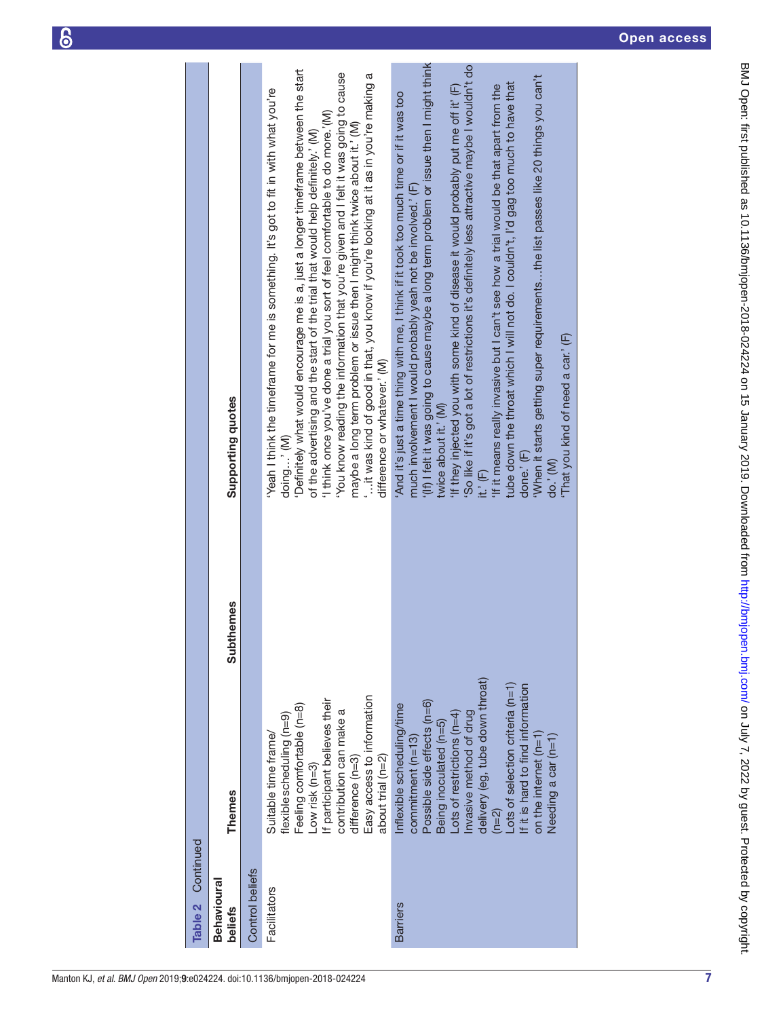BMJ Open: first published as 10.1136/bmjopen-2018-024224 on 15 January 2019. Downloaded from <http://bmjopen.bmj.com/> on July 7, 2022 by guest. Protected by copyright.

BMJ Open: first published as 10.1136/bmjopen-2018-024224 on 15 January 2019. Downloaded from http://bmjopen.bmj.com/ on July 7, 2022 by guest. Protected by copyright.

| Continued<br>Table 2          |                                                                                                                                                                                                                                                                                                                                             |                  |                                                                                                                                                                                                                                                                                                                                                                                                                                                                                                                                                                                                                                                                                                                                                                                                                     |
|-------------------------------|---------------------------------------------------------------------------------------------------------------------------------------------------------------------------------------------------------------------------------------------------------------------------------------------------------------------------------------------|------------------|---------------------------------------------------------------------------------------------------------------------------------------------------------------------------------------------------------------------------------------------------------------------------------------------------------------------------------------------------------------------------------------------------------------------------------------------------------------------------------------------------------------------------------------------------------------------------------------------------------------------------------------------------------------------------------------------------------------------------------------------------------------------------------------------------------------------|
| <b>Behavioural</b><br>beliefs | <b>Themes</b>                                                                                                                                                                                                                                                                                                                               | <b>Subthemes</b> | Supporting quotes                                                                                                                                                                                                                                                                                                                                                                                                                                                                                                                                                                                                                                                                                                                                                                                                   |
| Control beliefs               |                                                                                                                                                                                                                                                                                                                                             |                  |                                                                                                                                                                                                                                                                                                                                                                                                                                                                                                                                                                                                                                                                                                                                                                                                                     |
| Facilitators                  | Easy access to information<br>If participant believes their<br>Feeling comfortable (n=8)<br>contribution can make a<br>flexible scheduling (n=9)<br>Suitable time frame/<br>about trial (n=2)<br>$d$ ifference ( $n=3$ )<br>$Low$ risk ( $n=3$ )                                                                                            |                  | Definitely what would encourage me is a, just a longer timeframe between the start<br>You know reading the information that you're given and I felt it was going to cause<br>it was kind of good in that, you know if you're looking at it as in you're making a<br>Yeah I think the timeframe for me is something. It's got to fit in with what you're<br>I think once you've done a trial you sort of feel comfortable to do more.'(M)<br>maybe a long term problem or issue then I might think twice about it.' (M)<br>of the advertising and the start of the trial that would help definitely.' (M)<br>difference or whatever.' (M)<br>doing' (M)                                                                                                                                                              |
| <b>Barriers</b>               | delivery (eg, tube down throat)<br>ots of selection criteria (n=1)<br>f it is hard to find information<br>Possible side effects (n=6)<br>Inflexible scheduling/time<br>nvasive method of drug<br>-ots of restrictions ( $n=4$ )<br>Being inoculated (n=5)<br>commitment (n=13)<br>on the internet $(n=1)$<br>Needing a car (n=1)<br>$(n=2)$ |                  | (if) I felt it was going to cause maybe a long term problem or issue then I might think<br>So like if it's got a lot of restrictions it's definitely less attractive maybe I wouldn't do<br>'When it starts getting super requirementsthe list passes like 20 things you can't<br>tube down the throat which I will not do. I couldn't, I'd gag too much to have that<br>If it means really invasive but I can't see how a trial would be that apart from the<br>'If they injected you with some kind of disease it would probably put me off it' (F)<br>And it's just a time thing with me, I think if it took too much time or if it was too<br>much involvement I would probably yeah not be involved.' (F)<br>That you kind of need a car.' (F)<br>twice about it.' (M)<br>done.' (F)<br>do.' (M)<br>it.' $(F)$ |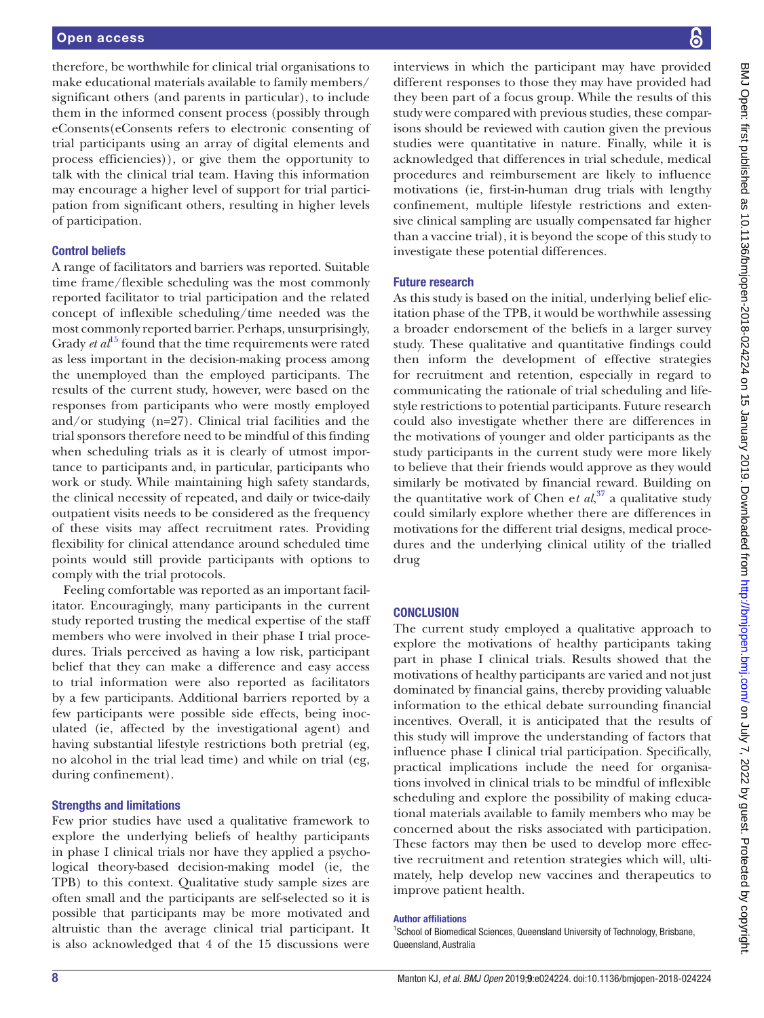therefore, be worthwhile for clinical trial organisations to make educational materials available to family members/ significant others (and parents in particular), to include them in the informed consent process (possibly through eConsents(eConsents refers to electronic consenting of trial participants using an array of digital elements and process efficiencies)), or give them the opportunity to talk with the clinical trial team. Having this information may encourage a higher level of support for trial participation from significant others, resulting in higher levels of participation.

# Control beliefs

A range of facilitators and barriers was reported. Suitable time frame/flexible scheduling was the most commonly reported facilitator to trial participation and the related concept of inflexible scheduling/time needed was the most commonly reported barrier. Perhaps, unsurprisingly, Grady *et al*<sup>[15](#page-8-8)</sup> found that the time requirements were rated as less important in the decision-making process among the unemployed than the employed participants. The results of the current study, however, were based on the responses from participants who were mostly employed and/or studying (n=27). Clinical trial facilities and the trial sponsors therefore need to be mindful of this finding when scheduling trials as it is clearly of utmost importance to participants and, in particular, participants who work or study. While maintaining high safety standards, the clinical necessity of repeated, and daily or twice-daily outpatient visits needs to be considered as the frequency of these visits may affect recruitment rates. Providing flexibility for clinical attendance around scheduled time points would still provide participants with options to comply with the trial protocols.

Feeling comfortable was reported as an important facilitator. Encouragingly, many participants in the current study reported trusting the medical expertise of the staff members who were involved in their phase I trial procedures. Trials perceived as having a low risk, participant belief that they can make a difference and easy access to trial information were also reported as facilitators by a few participants. Additional barriers reported by a few participants were possible side effects, being inoculated (ie, affected by the investigational agent) and having substantial lifestyle restrictions both pretrial (eg, no alcohol in the trial lead time) and while on trial (eg, during confinement).

## Strengths and limitations

Few prior studies have used a qualitative framework to explore the underlying beliefs of healthy participants in phase I clinical trials nor have they applied a psychological theory-based decision-making model (ie, the TPB) to this context. Qualitative study sample sizes are often small and the participants are self-selected so it is possible that participants may be more motivated and altruistic than the average clinical trial participant. It is also acknowledged that 4 of the 15 discussions were

interviews in which the participant may have provided different responses to those they may have provided had they been part of a focus group. While the results of this study were compared with previous studies, these comparisons should be reviewed with caution given the previous studies were quantitative in nature. Finally, while it is acknowledged that differences in trial schedule, medical procedures and reimbursement are likely to influence motivations (ie, first-in-human drug trials with lengthy confinement, multiple lifestyle restrictions and extensive clinical sampling are usually compensated far higher than a vaccine trial), it is beyond the scope of this study to investigate these potential differences.

## Future research

As this study is based on the initial, underlying belief elicitation phase of the TPB, it would be worthwhile assessing a broader endorsement of the beliefs in a larger survey study. These qualitative and quantitative findings could then inform the development of effective strategies for recruitment and retention, especially in regard to communicating the rationale of trial scheduling and lifestyle restrictions to potential participants. Future research could also investigate whether there are differences in the motivations of younger and older participants as the study participants in the current study were more likely to believe that their friends would approve as they would similarly be motivated by financial reward. Building on the quantitative work of Chen et  $al$ ,<sup>37</sup> a qualitative study could similarly explore whether there are differences in motivations for the different trial designs, medical procedures and the underlying clinical utility of the trialled drug

# **CONCLUSION**

The current study employed a qualitative approach to explore the motivations of healthy participants taking part in phase I clinical trials. Results showed that the motivations of healthy participants are varied and not just dominated by financial gains, thereby providing valuable information to the ethical debate surrounding financial incentives. Overall, it is anticipated that the results of this study will improve the understanding of factors that influence phase I clinical trial participation. Specifically, practical implications include the need for organisations involved in clinical trials to be mindful of inflexible scheduling and explore the possibility of making educational materials available to family members who may be concerned about the risks associated with participation. These factors may then be used to develop more effective recruitment and retention strategies which will, ultimately, help develop new vaccines and therapeutics to improve patient health.

#### Author affiliations

<sup>1</sup>School of Biomedical Sciences, Queensland University of Technology, Brisbane, Queensland, Australia